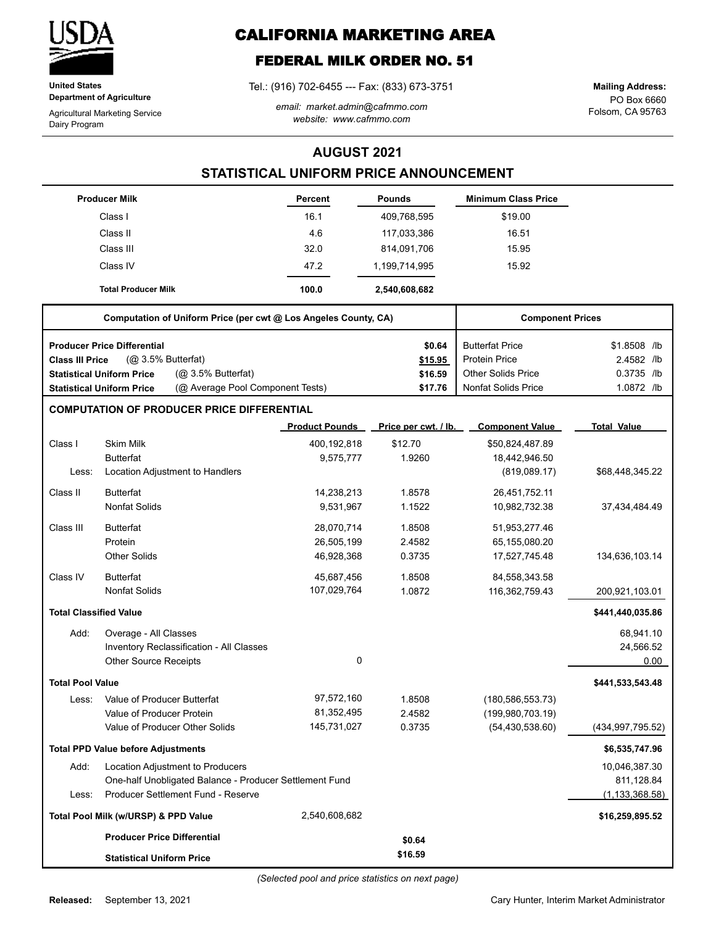

**United States Department of Agriculture**

Agricultural Marketing Service Dairy Program

# **CALIFORNIA MARKETING AREA**

# **FEDERAL MILK ORDER NO. 51**

Tel.: (916) 702-6455 --- Fax: (833) 673-3751

*email: market.admin@cafmmo.com website: www.cafmmo.com*

PO Box 6660 Folsom, CA 95763 **Mailing Address:**

### **AUGUST 2021**

## **STATISTICAL UNIFORM PRICE ANNOUNCEMENT**

|                         | <b>Producer Milk</b>                                                 | Percent               | <b>Pounds</b>        | <b>Minimum Class Price</b> |                    |
|-------------------------|----------------------------------------------------------------------|-----------------------|----------------------|----------------------------|--------------------|
|                         | Class I                                                              | 16.1                  | 409,768,595          | \$19.00                    |                    |
|                         | Class II                                                             | 4.6                   | 117,033,386          | 16.51                      |                    |
|                         | Class III                                                            | 32.0                  | 814,091,706          | 15.95                      |                    |
|                         | Class IV                                                             | 47.2                  | 1,199,714,995        | 15.92                      |                    |
|                         | <b>Total Producer Milk</b>                                           | 100.0                 | 2,540,608,682        |                            |                    |
|                         | Computation of Uniform Price (per cwt @ Los Angeles County, CA)      |                       |                      | <b>Component Prices</b>    |                    |
|                         | <b>Producer Price Differential</b>                                   |                       | \$0.64               | <b>Butterfat Price</b>     | \$1.8508 /lb       |
| <b>Class III Price</b>  | (@ 3.5% Butterfat)                                                   |                       | \$15.95              | <b>Protein Price</b>       | 2.4582 /lb         |
|                         | (Q <sub>2</sub> 3.5% Butterfat)<br><b>Statistical Uniform Price</b>  |                       | \$16.59              | <b>Other Solids Price</b>  | 0.3735 /lb         |
|                         | (@ Average Pool Component Tests)<br><b>Statistical Uniform Price</b> |                       | \$17.76              | <b>Nonfat Solids Price</b> | 1.0872 /lb         |
|                         | <b>COMPUTATION OF PRODUCER PRICE DIFFERENTIAL</b>                    |                       |                      |                            |                    |
|                         |                                                                      | <b>Product Pounds</b> | Price per cwt. / lb. | <b>Component Value</b>     | <b>Total Value</b> |
| Class I                 | <b>Skim Milk</b>                                                     | 400,192,818           | \$12.70              | \$50,824,487.89            |                    |
|                         | <b>Butterfat</b>                                                     | 9,575,777             | 1.9260               | 18,442,946.50              |                    |
| Less:                   | Location Adjustment to Handlers                                      |                       |                      | (819,089.17)               | \$68,448,345.22    |
| Class II                | <b>Butterfat</b>                                                     | 14,238,213            | 1.8578               | 26,451,752.11              |                    |
|                         | <b>Nonfat Solids</b>                                                 | 9,531,967             | 1.1522               | 10,982,732.38              | 37,434,484.49      |
| Class III               | <b>Butterfat</b>                                                     | 28,070,714            | 1.8508               | 51,953,277.46              |                    |
|                         | Protein                                                              | 26,505,199            | 2.4582               | 65,155,080.20              |                    |
|                         | <b>Other Solids</b>                                                  | 46,928,368            | 0.3735               | 17,527,745.48              | 134,636,103.14     |
| Class IV                | <b>Butterfat</b>                                                     | 45,687,456            | 1.8508               | 84,558,343.58              |                    |
|                         | <b>Nonfat Solids</b>                                                 | 107,029,764           | 1.0872               | 116,362,759.43             | 200,921,103.01     |
|                         | <b>Total Classified Value</b>                                        |                       |                      |                            | \$441,440,035.86   |
| Add:                    | Overage - All Classes                                                |                       |                      |                            | 68,941.10          |
|                         | Inventory Reclassification - All Classes                             |                       |                      |                            | 24,566.52          |
|                         | <b>Other Source Receipts</b>                                         | $\mathbf 0$           |                      |                            | 0.00               |
| <b>Total Pool Value</b> |                                                                      |                       |                      |                            | \$441,533,543.48   |
| Less:                   | Value of Producer Butterfat                                          | 97,572,160            | 1.8508               | (180, 586, 553.73)         |                    |
|                         | Value of Producer Protein                                            | 81,352,495            | 2.4582               | (199, 980, 703.19)         |                    |
|                         | Value of Producer Other Solids                                       | 145,731,027           | 0.3735               | (54, 430, 538.60)          | (434, 997, 795.52) |
|                         | <b>Total PPD Value before Adjustments</b>                            |                       |                      |                            | \$6,535,747.96     |
| Add:                    | Location Adjustment to Producers                                     |                       |                      |                            | 10,046,387.30      |
|                         | One-half Unobligated Balance - Producer Settlement Fund              |                       |                      |                            | 811,128.84         |
| Less:                   | Producer Settlement Fund - Reserve                                   |                       |                      |                            | (1, 133, 368.58)   |
|                         | Total Pool Milk (w/URSP) & PPD Value                                 | 2,540,608,682         |                      |                            | \$16,259,895.52    |
|                         | <b>Producer Price Differential</b>                                   |                       | \$0.64               |                            |                    |
|                         | <b>Statistical Uniform Price</b>                                     |                       | \$16.59              |                            |                    |

Cary Hunter, Interim Market Administrator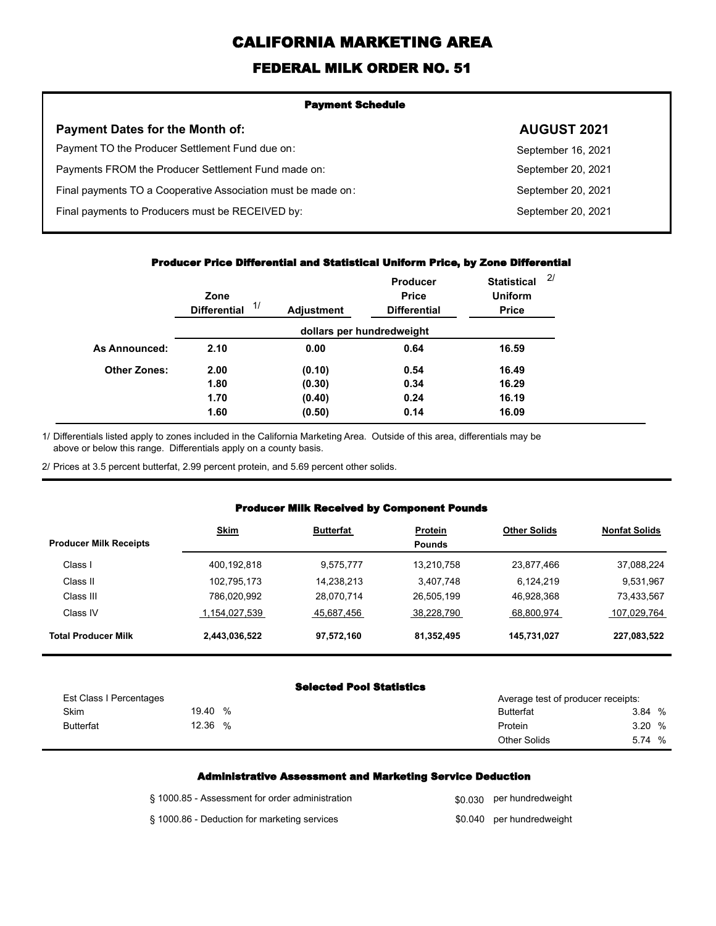# **CALIFORNIA MARKETING AREA**

## **FEDERAL MILK ORDER NO. 51**

| <b>Payment Schedule</b>                                      |                    |  |  |  |
|--------------------------------------------------------------|--------------------|--|--|--|
| <b>Payment Dates for the Month of:</b>                       | <b>AUGUST 2021</b> |  |  |  |
| Payment TO the Producer Settlement Fund due on:              | September 16, 2021 |  |  |  |
| Payments FROM the Producer Settlement Fund made on:          | September 20, 2021 |  |  |  |
| Final payments TO a Cooperative Association must be made on: | September 20, 2021 |  |  |  |
| Final payments to Producers must be RECEIVED by:             | September 20, 2021 |  |  |  |
|                                                              |                    |  |  |  |

#### **Producer Price Differential and Statistical Uniform Price, by Zone Differential**

|                      | Zone<br>1/<br><b>Differential</b> | <b>Adjustment</b> | <b>Producer</b><br><b>Price</b><br><b>Differential</b> | <b>Statistical</b><br><b>Uniform</b><br><b>Price</b> | 2/ |
|----------------------|-----------------------------------|-------------------|--------------------------------------------------------|------------------------------------------------------|----|
|                      |                                   |                   | dollars per hundredweight                              |                                                      |    |
| <b>As Announced:</b> | 2.10                              | 0.00              | 0.64                                                   | 16.59                                                |    |
| <b>Other Zones:</b>  | 2.00                              | (0.10)            | 0.54                                                   | 16.49                                                |    |
|                      | 1.80                              | (0.30)            | 0.34                                                   | 16.29                                                |    |
|                      | 1.70                              | (0.40)            | 0.24                                                   | 16.19                                                |    |
|                      | 1.60                              | (0.50)            | 0.14                                                   | 16.09                                                |    |

Differentials listed apply to zones included in the California Marketing Area. Outside of this area, differentials may be above or below this range. Differentials apply on a county basis. 1/

2/ Prices at 3.5 percent butterfat, 2.99 percent protein, and 5.69 percent other solids.

#### **Producer Milk Received by Component Pounds**

| <b>Producer Milk Receipts</b> | <b>Skim</b>   | <b>Butterfat</b> | <b>Protein</b><br><b>Pounds</b> | <b>Other Solids</b> | <b>Nonfat Solids</b> |
|-------------------------------|---------------|------------------|---------------------------------|---------------------|----------------------|
| Class I                       | 400,192,818   | 9.575.777        | 13,210,758                      | 23,877,466          | 37,088,224           |
| Class II                      | 102,795,173   | 14,238,213       | 3.407.748                       | 6.124.219           | 9.531.967            |
| Class III                     | 786,020,992   | 28,070,714       | 26,505,199                      | 46,928,368          | 73,433,567           |
| Class IV                      | 1,154,027,539 | 45,687,456       | 38.228.790                      | 68.800.974          | 107,029,764          |
| <b>Total Producer Milk</b>    | 2,443,036,522 | 97,572,160       | 81.352.495                      | 145,731,027         | 227,083,522          |

#### **Selected Pool Statistics**

| Est Class I Percentages |       |   | Average test of producer receipts: |        |   |
|-------------------------|-------|---|------------------------------------|--------|---|
| Skim                    | 19.40 | % | <b>Butterfat</b>                   | 3.84 % |   |
| <b>Butterfat</b>        | 12.36 | % | Protein                            | 3.20 % |   |
|                         |       |   | <b>Other Solids</b>                | 5.74   | % |

#### **Administrative Assessment and Marketing Service Deduction**

| § 1000.85 - Assessment for order administration | \$0,030 per hundredweight |
|-------------------------------------------------|---------------------------|
| § 1000.86 - Deduction for marketing services    | \$0.040 per hundredweight |